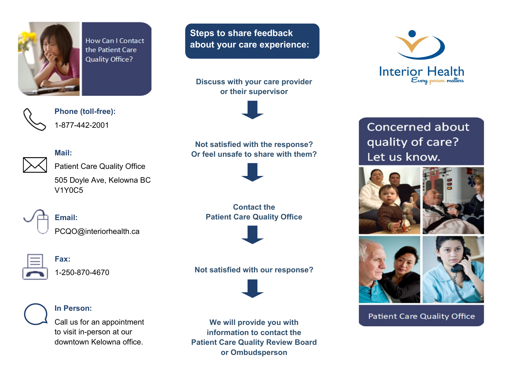

**How Can I Contact** the Patient Care **Quality Office?** 

**Steps to share feedback about your care experience:**

**Discuss with your care provider or their supervisor**



**Phone (toll-free):** 1-877-442-2001

## **Mail:**



Patient Care Quality Office

505 Doyle Ave, Kelowna BC V1Y0C5



# **Email:**

PCQO@interiorhealth.ca



**Fax:**

1-250-870-4670



## **In Person:**

Call us for an appointment to visit in-person at our downtown Kelowna office.

**We will provide you with information to contact the Patient Care Quality Review Board or Ombudsperson**



Concerned about quality of care? Let us know.





**Patient Care Quality Office** 

# **Not satisfied with the response? Or feel unsafe to share with them?**



**Contact the Patient Care Quality Office**



# **Not satisfied with our response?**